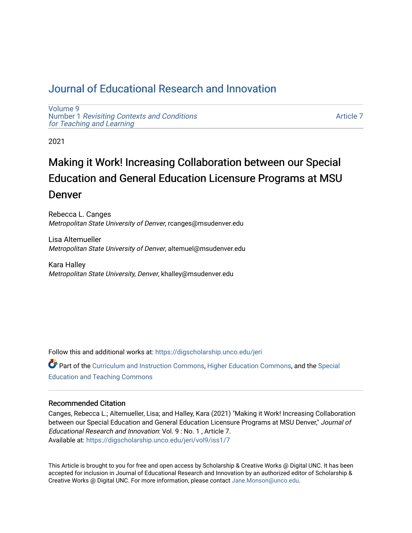# [Journal of Educational Research and Innovation](https://digscholarship.unco.edu/jeri)

[Volume 9](https://digscholarship.unco.edu/jeri/vol9) Number 1 [Revisiting Contexts and Conditions](https://digscholarship.unco.edu/jeri/vol9/iss1)  [for Teaching and Learning](https://digscholarship.unco.edu/jeri/vol9/iss1)

[Article 7](https://digscholarship.unco.edu/jeri/vol9/iss1/7) 

2021

# Making it Work! Increasing Collaboration between our Special Education and General Education Licensure Programs at MSU Denver

Rebecca L. Canges Metropolitan State University of Denver, rcanges@msudenver.edu

Lisa Altemueller Metropolitan State University of Denver, altemuel@msudenver.edu

Kara Halley Metropolitan State University, Denver, khalley@msudenver.edu

Follow this and additional works at: [https://digscholarship.unco.edu/jeri](https://digscholarship.unco.edu/jeri?utm_source=digscholarship.unco.edu%2Fjeri%2Fvol9%2Fiss1%2F7&utm_medium=PDF&utm_campaign=PDFCoverPages) 

Part of the [Curriculum and Instruction Commons,](http://network.bepress.com/hgg/discipline/786?utm_source=digscholarship.unco.edu%2Fjeri%2Fvol9%2Fiss1%2F7&utm_medium=PDF&utm_campaign=PDFCoverPages) [Higher Education Commons,](http://network.bepress.com/hgg/discipline/1245?utm_source=digscholarship.unco.edu%2Fjeri%2Fvol9%2Fiss1%2F7&utm_medium=PDF&utm_campaign=PDFCoverPages) and the [Special](http://network.bepress.com/hgg/discipline/801?utm_source=digscholarship.unco.edu%2Fjeri%2Fvol9%2Fiss1%2F7&utm_medium=PDF&utm_campaign=PDFCoverPages) [Education and Teaching Commons](http://network.bepress.com/hgg/discipline/801?utm_source=digscholarship.unco.edu%2Fjeri%2Fvol9%2Fiss1%2F7&utm_medium=PDF&utm_campaign=PDFCoverPages) 

#### Recommended Citation

Canges, Rebecca L.; Altemueller, Lisa; and Halley, Kara (2021) "Making it Work! Increasing Collaboration between our Special Education and General Education Licensure Programs at MSU Denver," Journal of Educational Research and Innovation: Vol. 9 : No. 1 , Article 7. Available at: [https://digscholarship.unco.edu/jeri/vol9/iss1/7](https://digscholarship.unco.edu/jeri/vol9/iss1/7?utm_source=digscholarship.unco.edu%2Fjeri%2Fvol9%2Fiss1%2F7&utm_medium=PDF&utm_campaign=PDFCoverPages) 

This Article is brought to you for free and open access by Scholarship & Creative Works @ Digital UNC. It has been accepted for inclusion in Journal of Educational Research and Innovation by an authorized editor of Scholarship & Creative Works @ Digital UNC. For more information, please contact [Jane.Monson@unco.edu](mailto:Jane.Monson@unco.edu).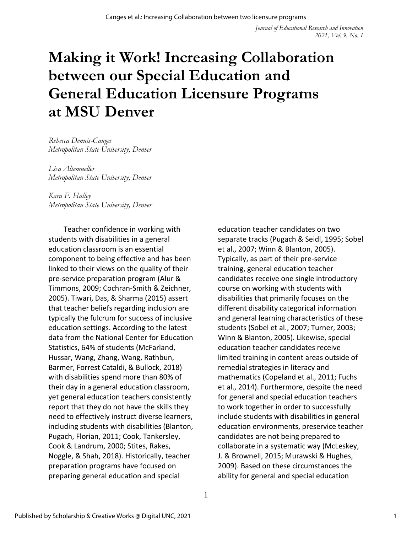# **Making it Work! Increasing Collaboration between our Special Education and General Education Licensure Programs at MSU Denver**

*Rebecca Dennis-Canges Metropolitan State University, Denver*

*Lisa Altemueller Metropolitan State University, Denver*

*Kara F. Halley Metropolitan State University, Denver*

Teacher confidence in working with students with disabilities in a general education classroom is an essential component to being effective and has been linked to their views on the quality of their pre-service preparation program (Alur & Timmons, 2009; Cochran-Smith & Zeichner, 2005). Tiwari, Das, & Sharma (2015) assert that teacher beliefs regarding inclusion are typically the fulcrum for success of inclusive education settings. According to the latest data from the National Center for Education Statistics, 64% of students (McFarland, Hussar, Wang, Zhang, Wang, Rathbun, Barmer, Forrest Cataldi, & Bullock, 2018) with disabilities spend more than 80% of their day in a general education classroom, yet general education teachers consistently report that they do not have the skills they need to effectively instruct diverse learners, including students with disabilities (Blanton, Pugach, Florian, 2011; Cook, Tankersley, Cook & Landrum, 2000; Stites, Rakes, Noggle, & Shah, 2018). Historically, teacher preparation programs have focused on preparing general education and special

education teacher candidates on two separate tracks (Pugach & Seidl, 1995; Sobel et al., 2007; Winn & Blanton, 2005). Typically, as part of their pre-service training, general education teacher candidates receive one single introductory course on working with students with disabilities that primarily focuses on the different disability categorical information and general learning characteristics of these students (Sobel et al., 2007; Turner, 2003; Winn & Blanton, 2005). Likewise, special education teacher candidates receive limited training in content areas outside of remedial strategies in literacy and mathematics (Copeland et al., 2011; Fuchs et al., 2014). Furthermore, despite the need for general and special education teachers to work together in order to successfully include students with disabilities in general education environments, preservice teacher candidates are not being prepared to collaborate in a systematic way (McLeskey, J. & Brownell, 2015; Murawski & Hughes, 2009). Based on these circumstances the ability for general and special education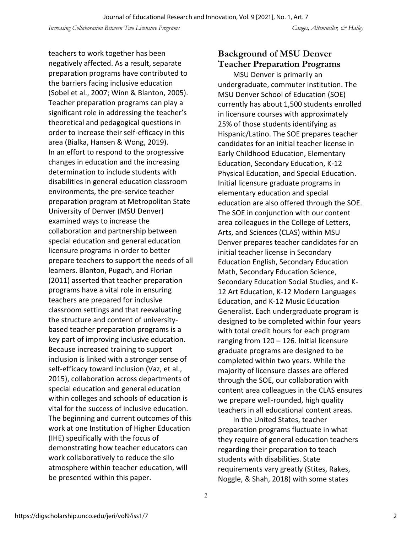teachers to work together has been negatively affected. As a result, separate preparation programs have contributed to the barriers facing inclusive education (Sobel et al., 2007; Winn & Blanton, 2005). Teacher preparation programs can play a significant role in addressing the teacher's theoretical and pedagogical questions in order to increase their self-efficacy in this area (Bialka, Hansen & Wong, 2019). In an effort to respond to the progressive changes in education and the increasing determination to include students with disabilities in general education classroom environments, the pre-service teacher preparation program at Metropolitan State University of Denver (MSU Denver) examined ways to increase the collaboration and partnership between special education and general education licensure programs in order to better prepare teachers to support the needs of all learners. Blanton, Pugach, and Florian (2011) asserted that teacher preparation programs have a vital role in ensuring teachers are prepared for inclusive classroom settings and that reevaluating the structure and content of universitybased teacher preparation programs is a key part of improving inclusive education. Because increased training to support inclusion is linked with a stronger sense of self-efficacy toward inclusion (Vaz, et al., 2015), collaboration across departments of special education and general education within colleges and schools of education is vital for the success of inclusive education. The beginning and current outcomes of this work at one Institution of Higher Education (IHE) specifically with the focus of demonstrating how teacher educators can work collaboratively to reduce the silo atmosphere within teacher education, will be presented within this paper.

## **Background of MSU Denver Teacher Preparation Programs**

MSU Denver is primarily an undergraduate, commuter institution. The MSU Denver School of Education (SOE) currently has about 1,500 students enrolled in licensure courses with approximately 25% of those students identifying as Hispanic/Latino. The SOE prepares teacher candidates for an initial teacher license in Early Childhood Education, Elementary Education, Secondary Education, K-12 Physical Education, and Special Education. Initial licensure graduate programs in elementary education and special education are also offered through the SOE. The SOE in conjunction with our content area colleagues in the College of Letters, Arts, and Sciences (CLAS) within MSU Denver prepares teacher candidates for an initial teacher license in Secondary Education English, Secondary Education Math, Secondary Education Science, Secondary Education Social Studies, and K-12 Art Education, K-12 Modern Languages Education, and K-12 Music Education Generalist. Each undergraduate program is designed to be completed within four years with total credit hours for each program ranging from 120 – 126. Initial licensure graduate programs are designed to be completed within two years. While the majority of licensure classes are offered through the SOE, our collaboration with content area colleagues in the CLAS ensures we prepare well-rounded, high quality teachers in all educational content areas.

In the United States, teacher preparation programs fluctuate in what they require of general education teachers regarding their preparation to teach students with disabilities. State requirements vary greatly (Stites, Rakes, Noggle, & Shah, 2018) with some states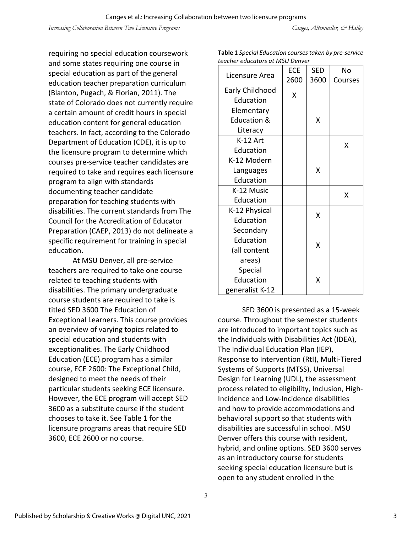requiring no special education coursework and some states requiring one course in special education as part of the general education teacher preparation curriculum (Blanton, Pugach, & Florian, 2011). The state of Colorado does not currently require a certain amount of credit hours in special education content for general education teachers. In fact, according to the Colorado Department of Education (CDE), it is up to the licensure program to determine which courses pre-service teacher candidates are required to take and requires each licensure program to align with standards documenting teacher candidate preparation for teaching students with disabilities. The current standards from The Council for the Accreditation of Educator Preparation (CAEP, 2013) do not delineate a specific requirement for training in special education.

At MSU Denver, all pre-service teachers are required to take one course related to teaching students with disabilities. The primary undergraduate course students are required to take is titled SED 3600 The Education of Exceptional Learners. This course provides an overview of varying topics related to special education and students with exceptionalities. The Early Childhood Education (ECE) program has a similar course, ECE 2600: The Exceptional Child, designed to meet the needs of their particular students seeking ECE licensure. However, the ECE program will accept SED 3600 as a substitute course if the student chooses to take it. See Table 1 for the licensure programs areas that require SED 3600, ECE 2600 or no course.

| <b>Table 1</b> Special Education courses taken by pre-service |  |
|---------------------------------------------------------------|--|
| teacher educators at MSU Denver                               |  |

| cacher caacators at iviso benieu |            |            |         |
|----------------------------------|------------|------------|---------|
| Licensure Area                   | <b>ECE</b> | <b>SED</b> | No      |
|                                  | 2600       | 3600       | Courses |
| Early Childhood                  |            |            |         |
| Education                        | Χ          |            |         |
| Elementary                       |            |            |         |
| <b>Education &amp;</b>           |            | X          |         |
| Literacy                         |            |            |         |
| K-12 Art                         |            |            | X       |
| Education                        |            |            |         |
| K-12 Modern                      |            |            |         |
| Languages                        |            | X          |         |
| Education                        |            |            |         |
| K-12 Music                       |            |            | X       |
| Education                        |            |            |         |
| K-12 Physical                    |            | X          |         |
| Education                        |            |            |         |
| Secondary                        |            |            |         |
| Education                        | X          |            |         |
| (all content                     |            |            |         |
| areas)                           |            |            |         |
| Special                          |            |            |         |
| Education                        |            | Χ          |         |
| generalist K-12                  |            |            |         |

SED 3600 is presented as a 15-week course. Throughout the semester students are introduced to important topics such as the Individuals with Disabilities Act (IDEA), The Individual Education Plan (IEP), Response to Intervention (RtI), Multi-Tiered Systems of Supports (MTSS), Universal Design for Learning (UDL), the assessment process related to eligibility, Inclusion, High-Incidence and Low-Incidence disabilities and how to provide accommodations and behavioral support so that students with disabilities are successful in school. MSU Denver offers this course with resident, hybrid, and online options. SED 3600 serves as an introductory course for students seeking special education licensure but is open to any student enrolled in the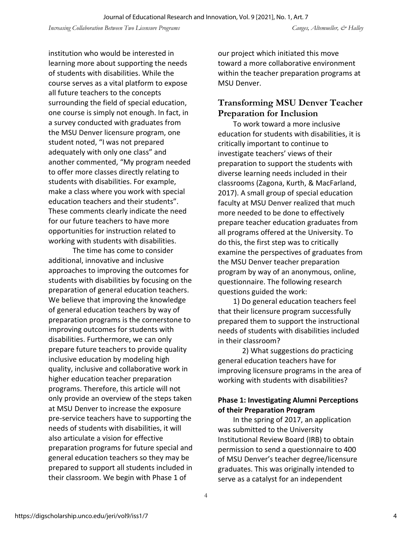institution who would be interested in learning more about supporting the needs of students with disabilities. While the course serves as a vital platform to expose all future teachers to the concepts surrounding the field of special education, one course is simply not enough. In fact, in a survey conducted with graduates from the MSU Denver licensure program, one student noted, "I was not prepared adequately with only one class" and another commented, "My program needed to offer more classes directly relating to students with disabilities. For example, make a class where you work with special education teachers and their students". These comments clearly indicate the need for our future teachers to have more opportunities for instruction related to working with students with disabilities.

The time has come to consider additional, innovative and inclusive approaches to improving the outcomes for students with disabilities by focusing on the preparation of general education teachers. We believe that improving the knowledge of general education teachers by way of preparation programs is the cornerstone to improving outcomes for students with disabilities. Furthermore, we can only prepare future teachers to provide quality inclusive education by modeling high quality, inclusive and collaborative work in higher education teacher preparation programs. Therefore, this article will not only provide an overview of the steps taken at MSU Denver to increase the exposure pre-service teachers have to supporting the needs of students with disabilities, it will also articulate a vision for effective preparation programs for future special and general education teachers so they may be prepared to support all students included in their classroom. We begin with Phase 1 of

our project which initiated this move toward a more collaborative environment within the teacher preparation programs at MSU Denver.

### **Transforming MSU Denver Teacher Preparation for Inclusion**

To work toward a more inclusive education for students with disabilities, it is critically important to continue to investigate teachers' views of their preparation to support the students with diverse learning needs included in their classrooms (Zagona, Kurth, & MacFarland, 2017). A small group of special education faculty at MSU Denver realized that much more needed to be done to effectively prepare teacher education graduates from all programs offered at the University. To do this, the first step was to critically examine the perspectives of graduates from the MSU Denver teacher preparation program by way of an anonymous, online, questionnaire. The following research questions guided the work:

1) Do general education teachers feel that their licensure program successfully prepared them to support the instructional needs of students with disabilities included in their classroom?

2) What suggestions do practicing general education teachers have for improving licensure programs in the area of working with students with disabilities?

#### **Phase 1: Investigating Alumni Perceptions of their Preparation Program**

In the spring of 2017, an application was submitted to the University Institutional Review Board (IRB) to obtain permission to send a questionnaire to 400 of MSU Denver's teacher degree/licensure graduates. This was originally intended to serve as a catalyst for an independent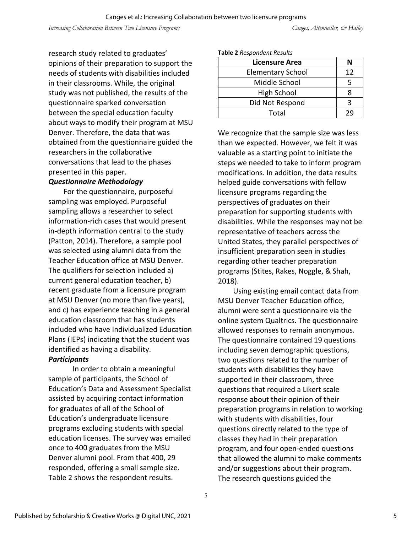research study related to graduates' opinions of their preparation to support the needs of students with disabilities included in their classrooms. While, the original study was not published, the results of the questionnaire sparked conversation between the special education faculty about ways to modify their program at MSU Denver. Therefore, the data that was obtained from the questionnaire guided the researchers in the collaborative conversations that lead to the phases presented in this paper.

#### *Questionnaire Methodology*

For the questionnaire, purposeful sampling was employed. Purposeful sampling allows a researcher to select information-rich cases that would present in-depth information central to the study (Patton, 2014). Therefore, a sample pool was selected using alumni data from the Teacher Education office at MSU Denver. The qualifiers for selection included a) current general education teacher, b) recent graduate from a licensure program at MSU Denver (no more than five years), and c) has experience teaching in a general education classroom that has students included who have Individualized Education Plans (IEPs) indicating that the student was identified as having a disability.

#### *Participants*

In order to obtain a meaningful sample of participants, the School of Education's Data and Assessment Specialist assisted by acquiring contact information for graduates of all of the School of Education's undergraduate licensure programs excluding students with special education licenses. The survey was emailed once to 400 graduates from the MSU Denver alumni pool. From that 400, 29 responded, offering a small sample size. Table 2 shows the respondent results.

#### **Table 2** *Respondent Results*

| Licensure Area           | Ν  |
|--------------------------|----|
| <b>Elementary School</b> | 12 |
| Middle School            |    |
| High School              | 8  |
| Did Not Respond          |    |
| Total                    |    |

We recognize that the sample size was less than we expected. However, we felt it was valuable as a starting point to initiate the steps we needed to take to inform program modifications. In addition, the data results helped guide conversations with fellow licensure programs regarding the perspectives of graduates on their preparation for supporting students with disabilities. While the responses may not be representative of teachers across the United States, they parallel perspectives of insufficient preparation seen in studies regarding other teacher preparation programs (Stites, Rakes, Noggle, & Shah, 2018).

Using existing email contact data from MSU Denver Teacher Education office, alumni were sent a questionnaire via the online system Qualtrics. The questionnaire allowed responses to remain anonymous. The questionnaire contained 19 questions including seven demographic questions, two questions related to the number of students with disabilities they have supported in their classroom, three questions that required a Likert scale response about their opinion of their preparation programs in relation to working with students with disabilities, four questions directly related to the type of classes they had in their preparation program, and four open-ended questions that allowed the alumni to make comments and/or suggestions about their program. The research questions guided the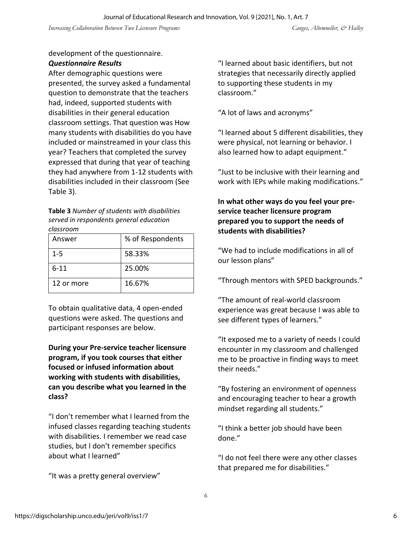#### development of the questionnaire. *Questionnaire Results*

After demographic questions were presented, the survey asked a fundamental question to demonstrate that the teachers had, indeed, supported students with disabilities in their general education classroom settings. That question was How many students with disabilities do you have included or mainstreamed in your class this year? Teachers that completed the survey expressed that during that year of teaching they had anywhere from 1-12 students with disabilities included in their classroom (See Table 3).

**Table 3** *Number of students with disabilities served in respondents general education classroom*

| Answer     | % of Respondents |
|------------|------------------|
| $1 - 5$    | 58.33%           |
| $6 - 11$   | 25.00%           |
| 12 or more | 16.67%           |

To obtain qualitative data, 4 open-ended questions were asked. The questions and participant responses are below.

**During your Pre-service teacher licensure program, if you took courses that either focused or infused information about working with students with disabilities, can you describe what you learned in the class?** 

"I don't remember what I learned from the infused classes regarding teaching students with disabilities. I remember we read case studies, but I don't remember specifics about what I learned"

"It was a pretty general overview"

"I learned about basic identifiers, but not strategies that necessarily directly applied to supporting these students in my classroom."

"A lot of laws and acronyms"

"I learned about 5 different disabilities, they were physical, not learning or behavior. I also learned how to adapt equipment."

"Just to be inclusive with their learning and work with IEPs while making modifications."

**In what other ways do you feel your preservice teacher licensure program prepared you to support the needs of students with disabilities?**

"We had to include modifications in all of our lesson plans"

"Through mentors with SPED backgrounds."

"The amount of real-world classroom experience was great because I was able to see different types of learners."

"It exposed me to a variety of needs I could encounter in my classroom and challenged me to be proactive in finding ways to meet their needs."

"By fostering an environment of openness and encouraging teacher to hear a growth mindset regarding all students."

"I think a better job should have been done."

"I do not feel there were any other classes that prepared me for disabilities."

6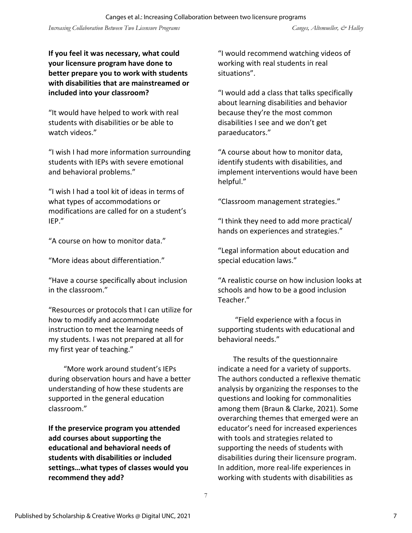**If you feel it was necessary, what could your licensure program have done to better prepare you to work with students with disabilities that are mainstreamed or included into your classroom?**

"It would have helped to work with real students with disabilities or be able to watch videos."

"I wish I had more information surrounding students with IEPs with severe emotional and behavioral problems."

"I wish I had a tool kit of ideas in terms of what types of accommodations or modifications are called for on a student's IEP."

"A course on how to monitor data."

"More ideas about differentiation."

"Have a course specifically about inclusion in the classroom."

"Resources or protocols that I can utilize for how to modify and accommodate instruction to meet the learning needs of my students. I was not prepared at all for my first year of teaching."

"More work around student's IEPs during observation hours and have a better understanding of how these students are supported in the general education classroom."

**If the preservice program you attended add courses about supporting the educational and behavioral needs of students with disabilities or included settings…what types of classes would you recommend they add?**

"I would recommend watching videos of working with real students in real situations".

"I would add a class that talks specifically about learning disabilities and behavior because they're the most common disabilities I see and we don't get paraeducators."

"A course about how to monitor data, identify students with disabilities, and implement interventions would have been helpful."

"Classroom management strategies."

"I think they need to add more practical/ hands on experiences and strategies."

"Legal information about education and special education laws."

"A realistic course on how inclusion looks at schools and how to be a good inclusion Teacher."

"Field experience with a focus in supporting students with educational and behavioral needs."

The results of the questionnaire indicate a need for a variety of supports. The authors conducted a reflexive thematic analysis by organizing the responses to the questions and looking for commonalities among them (Braun & Clarke, 2021). Some overarching themes that emerged were an educator's need for increased experiences with tools and strategies related to supporting the needs of students with disabilities during their licensure program. In addition, more real-life experiences in working with students with disabilities as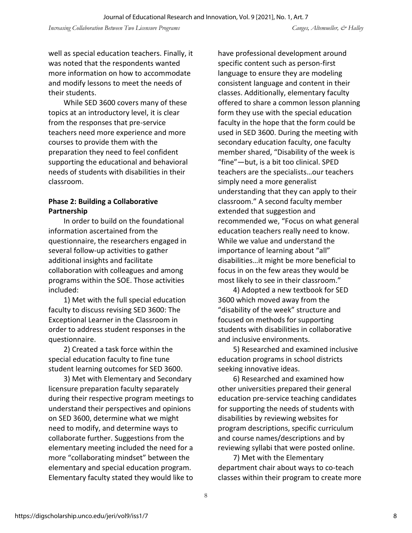well as special education teachers. Finally, it was noted that the respondents wanted more information on how to accommodate and modify lessons to meet the needs of their students.

While SED 3600 covers many of these topics at an introductory level, it is clear from the responses that pre-service teachers need more experience and more courses to provide them with the preparation they need to feel confident supporting the educational and behavioral needs of students with disabilities in their classroom.

#### **Phase 2: Building a Collaborative Partnership**

In order to build on the foundational information ascertained from the questionnaire, the researchers engaged in several follow-up activities to gather additional insights and facilitate collaboration with colleagues and among programs within the SOE. Those activities included:

1) Met with the full special education faculty to discuss revising SED 3600: The Exceptional Learner in the Classroom in order to address student responses in the questionnaire.

2) Created a task force within the special education faculty to fine tune student learning outcomes for SED 3600.

3) Met with Elementary and Secondary licensure preparation faculty separately during their respective program meetings to understand their perspectives and opinions on SED 3600, determine what we might need to modify, and determine ways to collaborate further. Suggestions from the elementary meeting included the need for a more "collaborating mindset" between the elementary and special education program. Elementary faculty stated they would like to

have professional development around specific content such as person-first language to ensure they are modeling consistent language and content in their classes. Additionally, elementary faculty offered to share a common lesson planning form they use with the special education faculty in the hope that the form could be used in SED 3600. During the meeting with secondary education faculty, one faculty member shared, "Disability of the week is "fine"—but, is a bit too clinical. SPED teachers are the specialists…our teachers simply need a more generalist understanding that they can apply to their classroom." A second faculty member extended that suggestion and recommended we, "Focus on what general education teachers really need to know. While we value and understand the importance of learning about "all" disabilities…it might be more beneficial to focus in on the few areas they would be most likely to see in their classroom."

4) Adopted a new textbook for SED 3600 which moved away from the "disability of the week" structure and focused on methods for supporting students with disabilities in collaborative and inclusive environments.

5) Researched and examined inclusive education programs in school districts seeking innovative ideas.

6) Researched and examined how other universities prepared their general education pre-service teaching candidates for supporting the needs of students with disabilities by reviewing websites for program descriptions, specific curriculum and course names/descriptions and by reviewing syllabi that were posted online.

7) Met with the Elementary department chair about ways to co-teach classes within their program to create more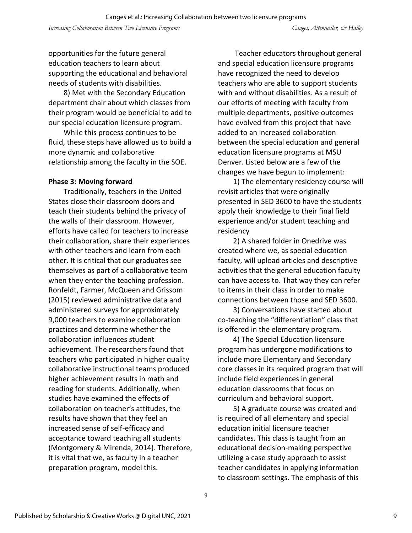opportunities for the future general education teachers to learn about supporting the educational and behavioral needs of students with disabilities.

8) Met with the Secondary Education department chair about which classes from their program would be beneficial to add to our special education licensure program.

While this process continues to be fluid, these steps have allowed us to build a more dynamic and collaborative relationship among the faculty in the SOE.

#### **Phase 3: Moving forward**

Traditionally, teachers in the United States close their classroom doors and teach their students behind the privacy of the walls of their classroom. However, efforts have called for teachers to increase their collaboration, share their experiences with other teachers and learn from each other. It is critical that our graduates see themselves as part of a collaborative team when they enter the teaching profession. Ronfeldt, Farmer, McQueen and Grissom (2015) reviewed administrative data and administered surveys for approximately 9,000 teachers to examine collaboration practices and determine whether the collaboration influences student achievement. The researchers found that teachers who participated in higher quality collaborative instructional teams produced higher achievement results in math and reading for students. Additionally, when studies have examined the effects of collaboration on teacher's attitudes, the results have shown that they feel an increased sense of self-efficacy and acceptance toward teaching all students (Montgomery & Mirenda, 2014). Therefore, it is vital that we, as faculty in a teacher preparation program, model this.

Teacher educators throughout general and special education licensure programs have recognized the need to develop teachers who are able to support students with and without disabilities. As a result of our efforts of meeting with faculty from multiple departments, positive outcomes have evolved from this project that have added to an increased collaboration between the special education and general education licensure programs at MSU Denver. Listed below are a few of the changes we have begun to implement:

1) The elementary residency course will revisit articles that were originally presented in SED 3600 to have the students apply their knowledge to their final field experience and/or student teaching and residency

2) A shared folder in Onedrive was created where we, as special education faculty, will upload articles and descriptive activities that the general education faculty can have access to. That way they can refer to items in their class in order to make connections between those and SED 3600.

3) Conversations have started about co-teaching the "differentiation" class that is offered in the elementary program.

4) The Special Education licensure program has undergone modifications to include more Elementary and Secondary core classes in its required program that will include field experiences in general education classrooms that focus on curriculum and behavioral support.

5) A graduate course was created and is required of all elementary and special education initial licensure teacher candidates. This class is taught from an educational decision-making perspective utilizing a case study approach to assist teacher candidates in applying information to classroom settings. The emphasis of this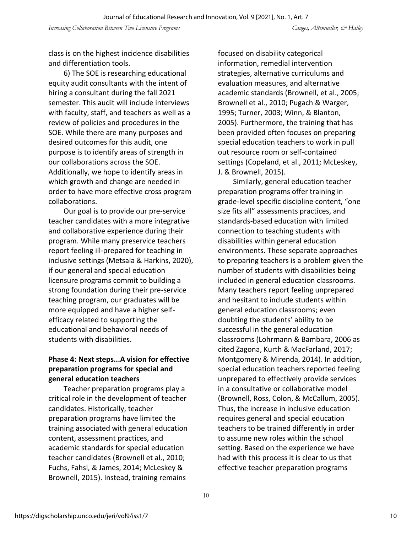class is on the highest incidence disabilities and differentiation tools.

6) The SOE is researching educational equity audit consultants with the intent of hiring a consultant during the fall 2021 semester. This audit will include interviews with faculty, staff, and teachers as well as a review of policies and procedures in the SOE. While there are many purposes and desired outcomes for this audit, one purpose is to identify areas of strength in our collaborations across the SOE. Additionally, we hope to identify areas in which growth and change are needed in order to have more effective cross program collaborations.

Our goal is to provide our pre-service teacher candidates with a more integrative and collaborative experience during their program. While many preservice teachers report feeling ill-prepared for teaching in inclusive settings (Metsala & Harkins, 2020), if our general and special education licensure programs commit to building a strong foundation during their pre-service teaching program, our graduates will be more equipped and have a higher selfefficacy related to supporting the educational and behavioral needs of students with disabilities.

#### **Phase 4: Next steps...A vision for effective preparation programs for special and general education teachers**

Teacher preparation programs play a critical role in the development of teacher candidates. Historically, teacher preparation programs have limited the training associated with general education content, assessment practices, and academic standards for special education teacher candidates (Brownell et al., 2010; Fuchs, Fahsl, & James, 2014; McLeskey & Brownell, 2015). Instead, training remains

focused on disability categorical information, remedial intervention strategies, alternative curriculums and evaluation measures, and alternative academic standards (Brownell, et al., 2005; Brownell et al., 2010; Pugach & Warger, 1995; Turner, 2003; Winn, & Blanton, 2005). Furthermore, the training that has been provided often focuses on preparing special education teachers to work in pull out resource room or self-contained settings (Copeland, et al., 2011; McLeskey, J. & Brownell, 2015).

Similarly, general education teacher preparation programs offer training in grade-level specific discipline content, "one size fits all" assessments practices, and standards-based education with limited connection to teaching students with disabilities within general education environments. These separate approaches to preparing teachers is a problem given the number of students with disabilities being included in general education classrooms. Many teachers report feeling unprepared and hesitant to include students within general education classrooms; even doubting the students' ability to be successful in the general education classrooms (Lohrmann & Bambara, 2006 as cited Zagona, Kurth & MacFarland, 2017; Montgomery & Mirenda, 2014). In addition, special education teachers reported feeling unprepared to effectively provide services in a consultative or collaborative model (Brownell, Ross, Colon, & McCallum, 2005). Thus, the increase in inclusive education requires general and special education teachers to be trained differently in order to assume new roles within the school setting. Based on the experience we have had with this process it is clear to us that effective teacher preparation programs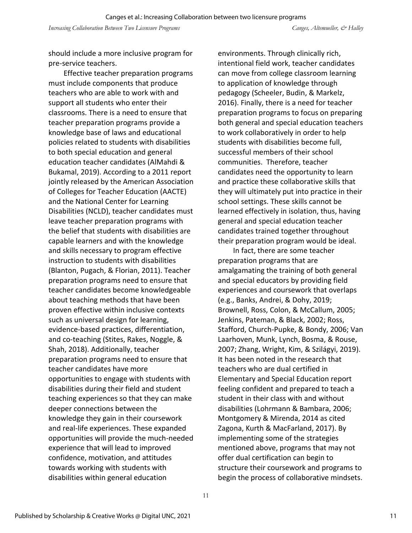should include a more inclusive program for pre-service teachers.

Effective teacher preparation programs must include components that produce teachers who are able to work with and support all students who enter their classrooms. There is a need to ensure that teacher preparation programs provide a knowledge base of laws and educational policies related to students with disabilities to both special education and general education teacher candidates (AlMahdi & Bukamal, 2019). According to a 2011 report jointly released by the American Association of Colleges for Teacher Education (AACTE) and the National Center for Learning Disabilities (NCLD), teacher candidates must leave teacher preparation programs with the belief that students with disabilities are capable learners and with the knowledge and skills necessary to program effective instruction to students with disabilities (Blanton, Pugach, & Florian, 2011). Teacher preparation programs need to ensure that teacher candidates become knowledgeable about teaching methods that have been proven effective within inclusive contexts such as universal design for learning, evidence-based practices, differentiation, and co-teaching (Stites, Rakes, Noggle, & Shah, 2018). Additionally, teacher preparation programs need to ensure that teacher candidates have more opportunities to engage with students with disabilities during their field and student teaching experiences so that they can make deeper connections between the knowledge they gain in their coursework and real-life experiences. These expanded opportunities will provide the much-needed experience that will lead to improved confidence, motivation, and attitudes towards working with students with disabilities within general education

environments. Through clinically rich, intentional field work, teacher candidates can move from college classroom learning to application of knowledge through pedagogy (Scheeler, Budin, & Markelz, 2016). Finally, there is a need for teacher preparation programs to focus on preparing both general and special education teachers to work collaboratively in order to help students with disabilities become full, successful members of their school communities. Therefore, teacher candidates need the opportunity to learn and practice these collaborative skills that they will ultimately put into practice in their school settings. These skills cannot be learned effectively in isolation, thus, having general and special education teacher candidates trained together throughout their preparation program would be ideal.

In fact, there are some teacher preparation programs that are amalgamating the training of both general and special educators by providing field experiences and coursework that overlaps (e.g., Banks, Andrei, & Dohy, 2019; Brownell, Ross, Colon, & McCallum, 2005; Jenkins, Pateman, & Black, 2002; Ross, Stafford, Church-Pupke, & Bondy, 2006; Van Laarhoven, Munk, Lynch, Bosma, & Rouse, 2007; Zhang, Wright, Kim, & Szilágyi, 2019). It has been noted in the research that teachers who are dual certified in Elementary and Special Education report feeling confident and prepared to teach a student in their class with and without disabilities (Lohrmann & Bambara, 2006; Montgomery & Mirenda, 2014 as cited Zagona, Kurth & MacFarland, 2017). By implementing some of the strategies mentioned above, programs that may not offer dual certification can begin to structure their coursework and programs to begin the process of collaborative mindsets.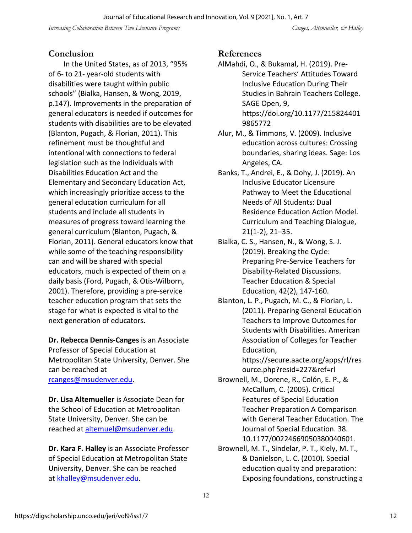#### **Conclusion**

In the United States, as of 2013, "95% of 6- to 21- year-old students with disabilities were taught within public schools" (Bialka, Hansen, & Wong, 2019, p.147). Improvements in the preparation of general educators is needed if outcomes for students with disabilities are to be elevated (Blanton, Pugach, & Florian, 2011). This refinement must be thoughtful and intentional with connections to federal legislation such as the Individuals with Disabilities Education Act and the Elementary and Secondary Education Act, which increasingly prioritize access to the general education curriculum for all students and include all students in measures of progress toward learning the general curriculum (Blanton, Pugach, & Florian, 2011). General educators know that while some of the teaching responsibility can and will be shared with special educators, much is expected of them on a daily basis (Ford, Pugach, & Otis-Wilborn, 2001). Therefore, providing a pre-service teacher education program that sets the stage for what is expected is vital to the next generation of educators.

**Dr. Rebecca Dennis-Canges** is an Associate Professor of Special Education at Metropolitan State University, Denver. She can be reached at [rcanges@msudenver.edu.](mailto:rcanges@msudenver.edu)

**Dr. Lisa Altemueller** is Associate Dean for the School of Education at Metropolitan State University, Denver. She can be reached at [altemuel@msudenver.edu.](mailto:altemuel@msudenver.edu)

**Dr. Kara F. Halley** is an Associate Professor of Special Education at Metropolitan State University, Denver. She can be reached at [khalley@msudenver.edu.](mailto:khalley@msudenver.edu)

#### **References**

- AlMahdi, O., & Bukamal, H. (2019). Pre-Service Teachers' Attitudes Toward Inclusive Education During Their Studies in Bahrain Teachers College. SAGE Open, 9, [https://doi.org/10.1177/215824401](https://doi.org/10.1177/2158244019865772) [9865772](https://doi.org/10.1177/2158244019865772)
- Alur, M., & Timmons, V. (2009). Inclusive education across cultures: Crossing boundaries, sharing ideas. Sage: Los Angeles, CA.
- Banks, T., Andrei, E., & Dohy, J. (2019). An Inclusive Educator Licensure Pathway to Meet the Educational Needs of All Students: Dual Residence Education Action Model. Curriculum and Teaching Dialogue, 21(1-2), 21–35.
- Bialka, C. S., Hansen, N., & Wong, S. J. (2019). Breaking the Cycle: Preparing Pre-Service Teachers for Disability-Related Discussions. Teacher Education & Special Education, 42(2), 147-160.
- Blanton, L. P., Pugach, M. C., & Florian, L. (2011). Preparing General Education Teachers to Improve Outcomes for Students with Disabilities. American Association of Colleges for Teacher Education,

[https://secure.aacte.org/apps/rl/res](https://secure.aacte.org/apps/rl/resource.php?resid=227&ref=rl) [ource.php?resid=227&ref=rl](https://secure.aacte.org/apps/rl/resource.php?resid=227&ref=rl)

- Brownell, M., Dorene, R., Colón, E. P., & McCallum, C. (2005). Critical Features of Special Education Teacher Preparation A Comparison with General Teacher Education. The Journal of Special Education. 38. 10.1177/00224669050380040601.
- Brownell, M. T., Sindelar, P. T., Kiely, M. T., & Danielson, L. C. (2010). Special education quality and preparation: Exposing foundations, constructing a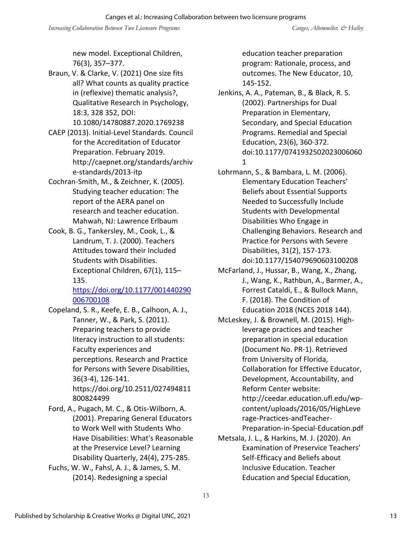new model. Exceptional Children, 76(3), 357–377.

Braun, V. & Clarke, V. (2021) One size fits all? What counts as quality practice in (reflexive) thematic analysis?, Qualitative Research in Psychology, 18:3, 328 352, DOI: 10.1080/14780887.2020.1769238

- CAEP (2013). Initial-Level Standards. Council for the Accreditation of Educator Preparation. February 2019. [http://caepnet.org/standards/archiv](http://caepnet.org/standards/archive-standards/2013-itp) [e-standards/2013-itp](http://caepnet.org/standards/archive-standards/2013-itp)
- Cochran-Smith, M., & Zeichner, K. (2005). Studying teacher education: The report of the AERA panel on research and teacher education. Mahwah, NJ: Lawrence Erlbaum
- Cook, B. G., Tankersley, M., Cook, L., & Landrum, T. J. (2000). Teachers Attitudes toward their Included Students with Disabilities. Exceptional Children, 67(1), 115– 135.

[https://doi.org/10.1177/001440290](https://doi.org/10.1177/001440290006700108) [006700108](https://doi.org/10.1177/001440290006700108)

- Copeland, S. R., Keefe, E. B., Calhoon, A. J., Tanner, W., & Park, S. (2011). Preparing teachers to provide literacy instruction to all students: Faculty experiences and perceptions. Research and Practice for Persons with Severe Disabilities, 36(3-4), 126-141. [https://doi.org/10.2511/027494811](https://doi.org/10.2511/027494811800824499) [800824499](https://doi.org/10.2511/027494811800824499)
- Ford, A., Pugach, M. C., & Otis-Wilborn, A. (2001). Preparing General Educators to Work Well with Students Who Have Disabilities: What's Reasonable at the Preservice Level? Learning Disability Quarterly, 24(4), 275-285.
- Fuchs, W. W., Fahsl, A. J., & James, S. M. (2014). Redesigning a special

education teacher preparation program: Rationale, process, and outcomes. The New Educator, 10, 145-152.

- Jenkins, A. A., Pateman, B., & Black, R. S. (2002). Partnerships for Dual Preparation in Elementary, Secondary, and Special Education Programs. Remedial and Special Education, 23(6), 360-372. doi:10.1177/0741932502023006060 1
- Lohrmann, S., & Bambara, L. M. (2006). Elementary Education Teachers' Beliefs about Essential Supports Needed to Successfully Include Students with Developmental Disabilities Who Engage in Challenging Behaviors. Research and Practice for Persons with Severe Disabilities, 31(2), 157-173. doi:10.1177/154079690603100208
- McFarland, J., Hussar, B., Wang, X., Zhang, J., Wang, K., Rathbun, A., Barmer, A., Forrest Cataldi, E., & Bullock Mann, F. (2018). The Condition of Education 2018 (NCES 2018 144).
- McLeskey, J. & Brownell, M. (2015). Highleverage practices and teacher preparation in special education (Document No. PR-1). Retrieved from University of Florida, Collaboration for Effective Educator, Development, Accountability, and Reform Center website: [http://ceedar.education.ufl.edu/wp](http://ceedar.education.ufl.edu/wp-content/uploads/2016/05/HighLeverage-Practices-andTeacher-Preparation-in-Special-Education.pdf)[content/uploads/2016/05/HighLeve](http://ceedar.education.ufl.edu/wp-content/uploads/2016/05/HighLeverage-Practices-andTeacher-Preparation-in-Special-Education.pdf) [rage-Practices-andTeacher-](http://ceedar.education.ufl.edu/wp-content/uploads/2016/05/HighLeverage-Practices-andTeacher-Preparation-in-Special-Education.pdf)[Preparation-in-Special-Education.pdf](http://ceedar.education.ufl.edu/wp-content/uploads/2016/05/HighLeverage-Practices-andTeacher-Preparation-in-Special-Education.pdf)
- Metsala, J. L., & Harkins, M. J. (2020). An Examination of Preservice Teachers' Self-Efficacy and Beliefs about Inclusive Education. Teacher Education and Special Education,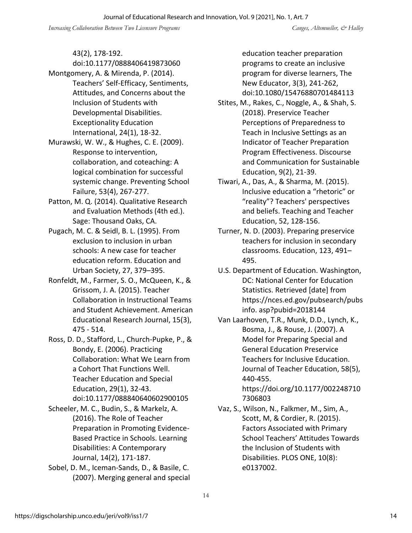43(2), 178-192.

- doi:10.1177/0888406419873060 Montgomery, A. & Mirenda, P. (2014). Teachers' Self-Efficacy, Sentiments, Attitudes, and Concerns about the Inclusion of Students with Developmental Disabilities. Exceptionality Education International, 24(1), 18-32.
- Murawski, W. W., & Hughes, C. E. (2009). Response to intervention, collaboration, and coteaching: A logical combination for successful systemic change. Preventing School Failure, 53(4), 267-277.
- Patton, M. Q. (2014). Qualitative Research and Evaluation Methods (4th ed.). Sage: Thousand Oaks, CA.
- Pugach, M. C. & Seidl, B. L. (1995). From exclusion to inclusion in urban schools: A new case for teacher education reform. Education and Urban Society, 27, 379–395.
- Ronfeldt, M., Farmer, S. O., McQueen, K., & Grissom, J. A. (2015). Teacher Collaboration in Instructional Teams and Student Achievement. American Educational Research Journal, 15(3), 475 - 514.
- Ross, D. D., Stafford, L., Church-Pupke, P., & Bondy, E. (2006). Practicing Collaboration: What We Learn from a Cohort That Functions Well. Teacher Education and Special Education, 29(1), 32-43. doi:10.1177/088840640602900105
- Scheeler, M. C., Budin, S., & Markelz, A. (2016). The Role of Teacher Preparation in Promoting Evidence-Based Practice in Schools. Learning Disabilities: A Contemporary Journal, 14(2), 171-187.
- Sobel, D. M., Iceman-Sands, D., & Basile, C. (2007). Merging general and special

education teacher preparation programs to create an inclusive program for diverse learners, The New Educator, 3(3), 241-262, doi:10.1080/15476880701484113

- Stites, M., Rakes, C., Noggle, A., & Shah, S. (2018). Preservice Teacher Perceptions of Preparedness to Teach in Inclusive Settings as an Indicator of Teacher Preparation Program Effectiveness. Discourse and Communication for Sustainable Education, 9(2), 21-39.
- Tiwari, A., Das, A., & Sharma, M. (2015). Inclusive education a "rhetoric" or "reality"? Teachers' perspectives and beliefs. Teaching and Teacher Education, 52, 128-156.
- Turner, N. D. (2003). Preparing preservice teachers for inclusion in secondary classrooms. Education, 123, 491– 495.
- U.S. Department of Education. Washington, DC: National Center for Education Statistics. Retrieved [date] from https://nces.ed.gov/pubsearch/pubs info. asp?pubid=2018144
- Van Laarhoven, T.R., Munk, D.D., Lynch, K., Bosma, J., & Rouse, J. (2007). A Model for Preparing Special and General Education Preservice Teachers for Inclusive Education. Journal of Teacher Education, 58(5), 440-455. [https://doi.org/10.1177/002248710](https://doi.org/10.1177/0022487107306803) [7306803](https://doi.org/10.1177/0022487107306803)
- Vaz, S., Wilson, N., Falkmer, M., Sim, A., Scott, M, & Cordier, R. (2015). Factors Associated with Primary School Teachers' Attitudes Towards the Inclusion of Students with Disabilities. PLOS ONE, 10(8): e0137002.